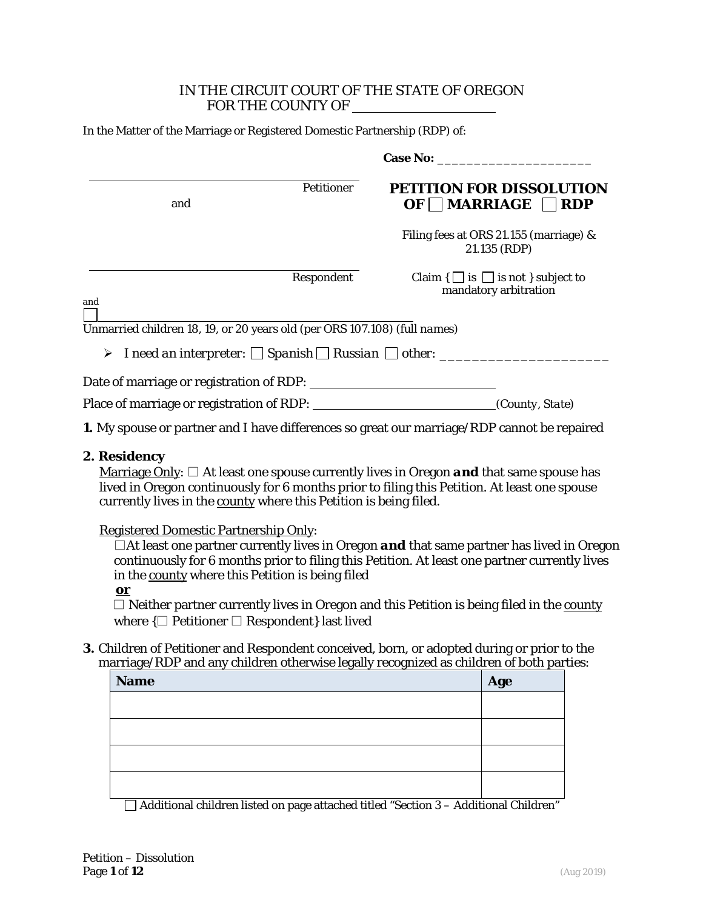### IN THE CIRCUIT COURT OF THE STATE OF OREGON FOR THE COUNTY OF

| In the Matter of the Marriage or Registered Domestic Partnership (RDP) of: |
|----------------------------------------------------------------------------|
|----------------------------------------------------------------------------|

| Petitioner<br>and                                                                                  | PETITION FOR DISSOLUTION<br>OF $\Box$ MARRIAGE $\Box$ RDP             |
|----------------------------------------------------------------------------------------------------|-----------------------------------------------------------------------|
|                                                                                                    | Filing fees at ORS 21.155 (marriage) &<br>21.135 (RDP)                |
| Respondent                                                                                         | Claim $\{\Box$ is $\Box$ is not } subject to<br>mandatory arbitration |
| and<br>Unmarried children 18, 19, or 20 years old (per ORS 107.108) (full names)                   |                                                                       |
| Date of marriage or registration of RDP:                                                           |                                                                       |
| Place of marriage or registration of RDP:                                                          | (County, State)                                                       |
| <b>1.</b> My spouse or partner and I have differences so great our marriage/RDP cannot be repaired |                                                                       |

#### **2. Residency**

Marriage Only: □ At least one spouse currently lives in Oregon *and* that same spouse has lived in Oregon continuously for 6 months prior to filing this *Petition*. At least one spouse currently lives in the county where this *Petition* is being filed.

Registered Domestic Partnership Only:

 $\Box$  At least one partner currently lives in Oregon **and** that same partner has lived in Oregon continuously for 6 months prior to filing this *Petition*. At least one partner currently lives in the county where this *Petition* is being filed

**or**

□ Neither partner currently lives in Oregon and this *Petition* is being filed in the county where  $\{\Box \text{ Petitioner } \Box \text{Respondent} \}$  last lived

**3.** Children of Petitioner and Respondent conceived, born, or adopted during or prior to the marriage/RDP and any children otherwise legally recognized as children of both parties:

| <b>Name</b> | Age |
|-------------|-----|
|             |     |
|             |     |
|             |     |
|             |     |

 $\Box$  Additional children listed on page attached titled "Section 3 – Additional Children"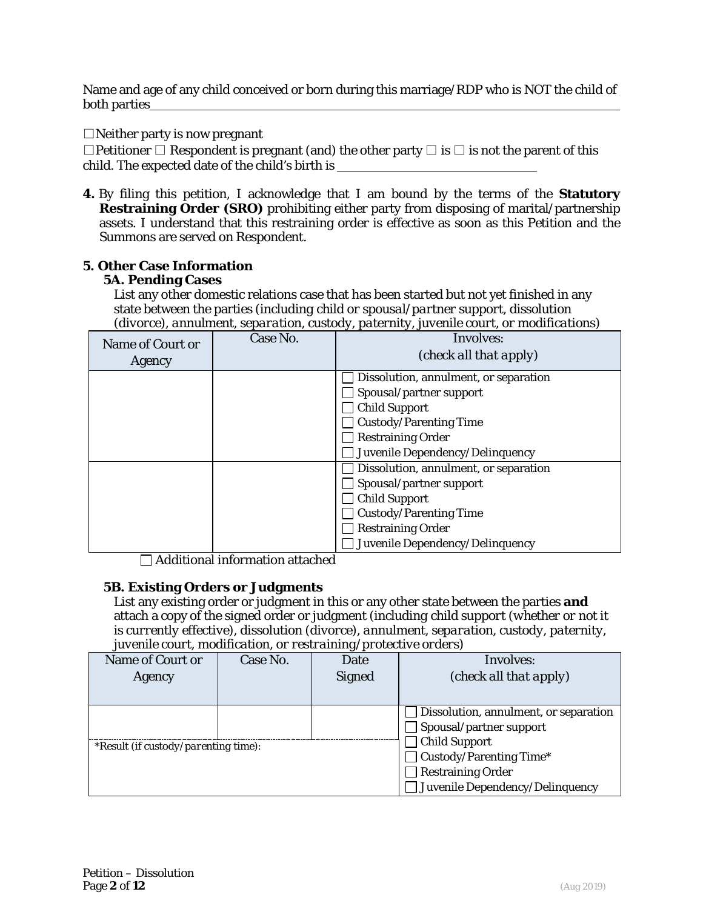Name and age of any child conceived or born during this marriage/RDP who is NOT the child of both parties

 $\Box$ Neither party is now pregnant

□Petitioner □ Respondent is pregnant (and) the other party □ is □ is not the parent of this child. The expected date of the child's birth is

**4.** By filing this petition, I acknowledge that I am bound by the terms of the **Statutory Restraining Order (SRO)** prohibiting either party from disposing of marital/partnership assets. I understand that this restraining order is effective as soon as this *Petition* and the *Summons* are served on Respondent.

### **5. Other Case Information**

#### **5A. Pending Cases**

List any other domestic relations case that has been started but not yet finished in any state between the parties *(including child or spousal/partner support, dissolution (divorce), annulment, separation, custody, paternity, juvenile court, or modifications)*

| Name of Court or<br>Agency | Case No. | Involves:<br>(check all that apply)   |
|----------------------------|----------|---------------------------------------|
|                            |          | Dissolution, annulment, or separation |
|                            |          | Spousal/partner support               |
|                            |          | <b>Child Support</b>                  |
|                            |          | <b>Custody/Parenting Time</b>         |
|                            |          | <b>Restraining Order</b>              |
|                            |          | Juvenile Dependency/Delinquency       |
|                            |          | Dissolution, annulment, or separation |
|                            |          | Spousal/partner support               |
|                            |          | <b>Child Support</b>                  |
|                            |          | <b>Custody/Parenting Time</b>         |
|                            |          | <b>Restraining Order</b>              |
|                            |          | Juvenile Dependency/Delinquency       |

 $\Box$  Additional information attached

### **5B. Existing Orders or Judgments**

List any existing order or judgment in this or any other state between the parties **and** attach a copy of the signed order or judgment *(including child support (whether or not it is currently effective), dissolution (divorce), annulment, separation, custody, paternity, juvenile court, modification, or restraining/protective orders)*

| Name of Court or                     | Case No. | $\sim$ $\sim$<br>Date | Involves:                             |
|--------------------------------------|----------|-----------------------|---------------------------------------|
| Agency                               |          | <b>Signed</b>         | (check all that apply)                |
|                                      |          |                       |                                       |
|                                      |          |                       | Dissolution, annulment, or separation |
|                                      |          |                       | Spousal/partner support               |
| *Result (if custody/parenting time): |          |                       | <b>Child Support</b>                  |
|                                      |          |                       | Custody/Parenting Time*               |
|                                      |          |                       | <b>Restraining Order</b>              |
|                                      |          |                       | Juvenile Dependency/Delinquency       |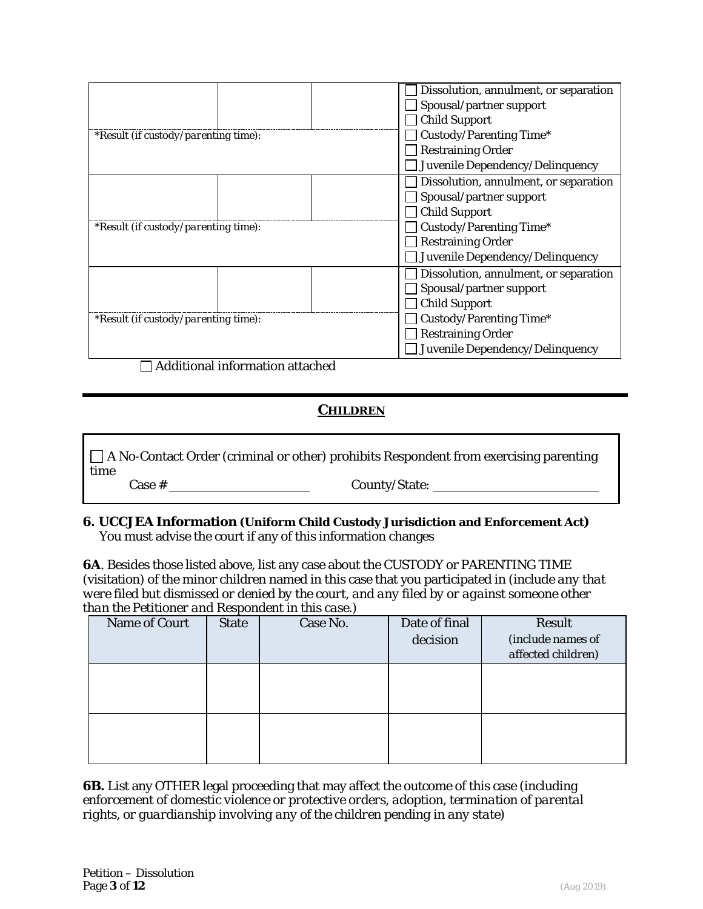|                                      | Dissolution, annulment, or separation |
|--------------------------------------|---------------------------------------|
|                                      | Spousal/partner support               |
|                                      | <b>Child Support</b>                  |
| *Result (if custody/parenting time): | Custody/Parenting Time*               |
|                                      | <b>Restraining Order</b>              |
|                                      | Juvenile Dependency/Delinquency       |
|                                      | Dissolution, annulment, or separation |
|                                      | Spousal/partner support               |
|                                      | <b>Child Support</b>                  |
| *Result (if custody/parenting time): | Custody/Parenting Time*               |
|                                      | <b>Restraining Order</b>              |
|                                      | Juvenile Dependency/Delinquency       |
|                                      | Dissolution, annulment, or separation |
|                                      | Spousal/partner support               |
|                                      | <b>Child Support</b>                  |
| *Result (if custody/parenting time): | Custody/Parenting Time*               |
|                                      | <b>Restraining Order</b>              |
|                                      | Juvenile Dependency/Delinquency       |
| Additional information attached      |                                       |

# *CHILDREN*

A No-Contact Order (criminal or other) prohibits Respondent from exercising parenting time

Case # County/State:

#### **6. UCCJEA Information (Uniform Child Custody Jurisdiction and Enforcement Act)**  You must advise the court if any of this information changes

**6A**. Besides those listed above, list any case about the CUSTODY or PARENTING TIME (visitation) of the minor children named in this case that you participated in *(include any that were filed but dismissed or denied by the court, and any filed by or against someone other than the Petitioner and Respondent in this case.)* 

| Name of Court | <b>State</b> | Case No. | Date of final<br>decision | Result<br>(include names of<br>affected children) |
|---------------|--------------|----------|---------------------------|---------------------------------------------------|
|               |              |          |                           |                                                   |
|               |              |          |                           |                                                   |

**6B.** List any OTHER legal proceeding that may affect the outcome of this case *(including enforcement of domestic violence or protective orders, adoption, termination of parental rights, or guardianship involving any of the children pending in any state)*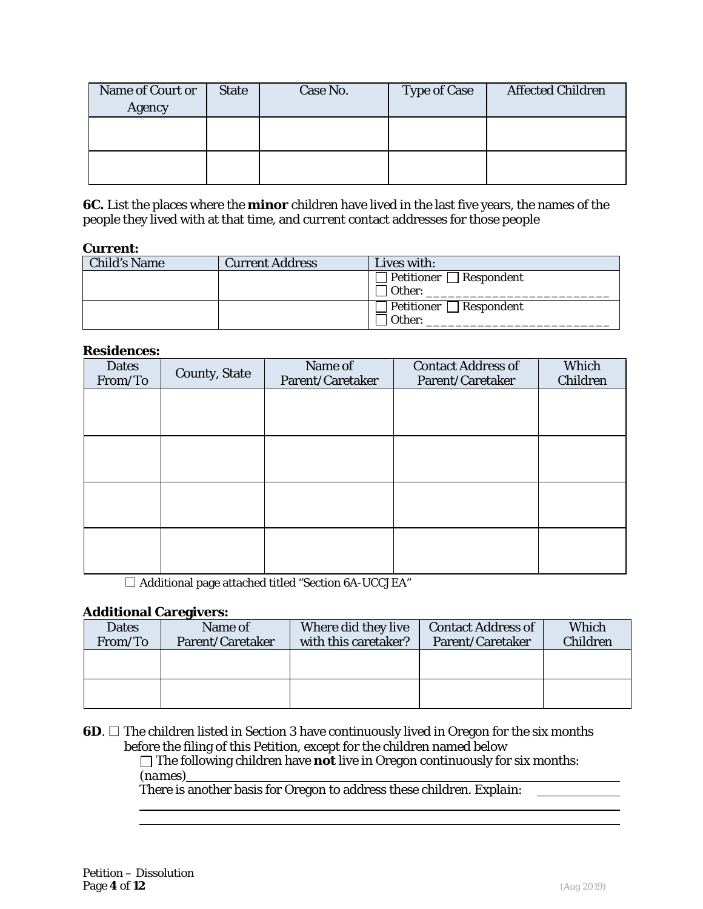| Name of Court or<br>Agency | <b>State</b> | Case No. | <b>Type of Case</b> | <b>Affected Children</b> |
|----------------------------|--------------|----------|---------------------|--------------------------|
|                            |              |          |                     |                          |
|                            |              |          |                     |                          |

**6C.** List the places where the **minor** children have lived in the last five years, the names of the people they lived with at that time, and *current* contact addresses for those people

#### **Current:**

| <b>Child's Name</b> | <b>Current Address</b> | Lives with:                            |
|---------------------|------------------------|----------------------------------------|
|                     |                        | Petitioner     Respondent              |
|                     |                        | l Other:                               |
|                     |                        | $\mathsf{Pettioner} \ \Box$ Respondent |
|                     |                        | Other:                                 |

#### **Residences:**

| <b>Dates</b><br>From/To | <b>County, State</b> | Name of<br>Parent/Caretaker | <b>Contact Address of</b><br>Parent/Caretaker | Which<br>Children |
|-------------------------|----------------------|-----------------------------|-----------------------------------------------|-------------------|
|                         |                      |                             |                                               |                   |
|                         |                      |                             |                                               |                   |
|                         |                      |                             |                                               |                   |
|                         |                      |                             |                                               |                   |
|                         |                      |                             |                                               |                   |
|                         |                      |                             |                                               |                   |
|                         |                      |                             |                                               |                   |
|                         |                      |                             |                                               |                   |

□ Additional page attached titled "Section 6A-UCCJEA"

#### **Additional Caregivers:**

| <b>Dates</b> | Name of          | Where did they live  | <b>Contact Address of</b> | Which           |
|--------------|------------------|----------------------|---------------------------|-----------------|
| From/To      | Parent/Caretaker | with this caretaker? | Parent/Caretaker          | <b>Children</b> |
|              |                  |                      |                           |                 |
|              |                  |                      |                           |                 |
|              |                  |                      |                           |                 |
|              |                  |                      |                           |                 |

#### **6D**. □ The children listed in Section 3 have continuously lived in Oregon for the six months before the filing of this *Petition*, except for the children named below

The following children have **not** live in Oregon continuously for six months: *(names)*

There is another basis for Oregon to address these children. *Explain:*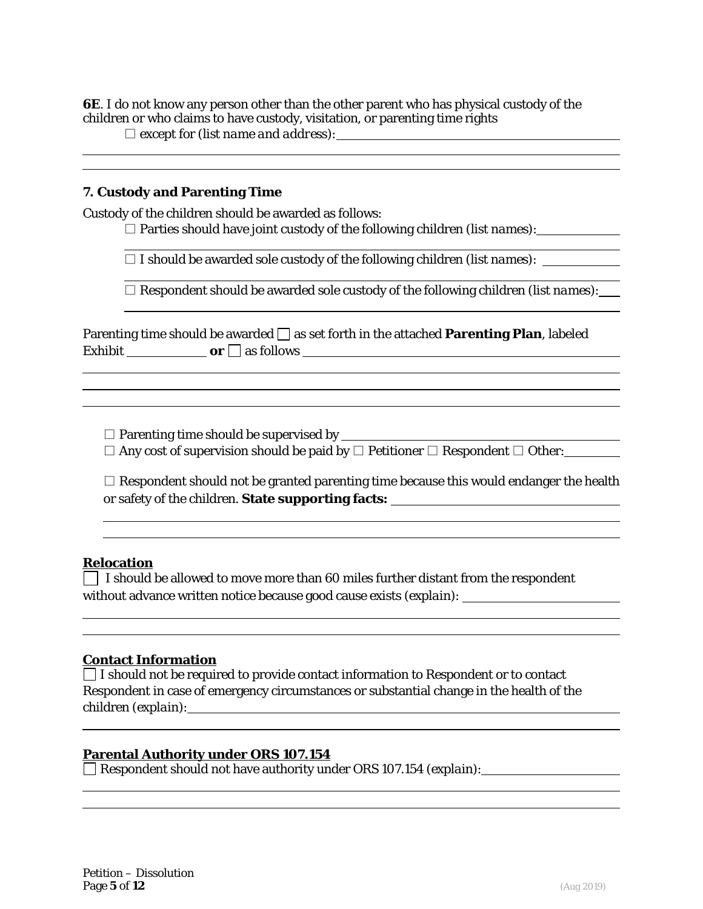**6E**. I do not know any person other than the other parent who has physical custody of the children or who claims to have custody, visitation, or parenting time rights

□ except for *(list name and address):*

## **7. Custody and Parenting Time**

Custody of the children should be awarded as follows:

□ Parties should have joint custody of the following children *(list names)*:

□ I should be awarded sole custody of the following children *(list names)*:

□ Respondent should be awarded sole custody of the following children *(list names)*:

|         | Parenting time should be awarded $\Box$ as set forth in the attached <b>Parenting Plan</b> , labeled |  |
|---------|------------------------------------------------------------------------------------------------------|--|
| Exhibit | $or \Box$ as follows                                                                                 |  |

□ Parenting time should be supervised by

 $\Box$  Any cost of supervision should be paid by  $\Box$  Petitioner  $\Box$  Respondent  $\Box$  Other:

| $\Box$ Respondent should not be granted parenting time because this would endanger the health |
|-----------------------------------------------------------------------------------------------|
| or safety of the children. State supporting facts:                                            |

### **Relocation**

 $\Box$  I should be allowed to move more than 60 miles further distant from the respondent without advance written notice because good cause exists *(explain)*:

### **Contact Information**

 $\Box$  I should not be required to provide contact information to Respondent or to contact Respondent in case of emergency circumstances or substantial change in the health of the children *(explain)*:

### **Parental Authority under ORS 107.154**

Respondent should not have authority under ORS 107.154 *(explain)*: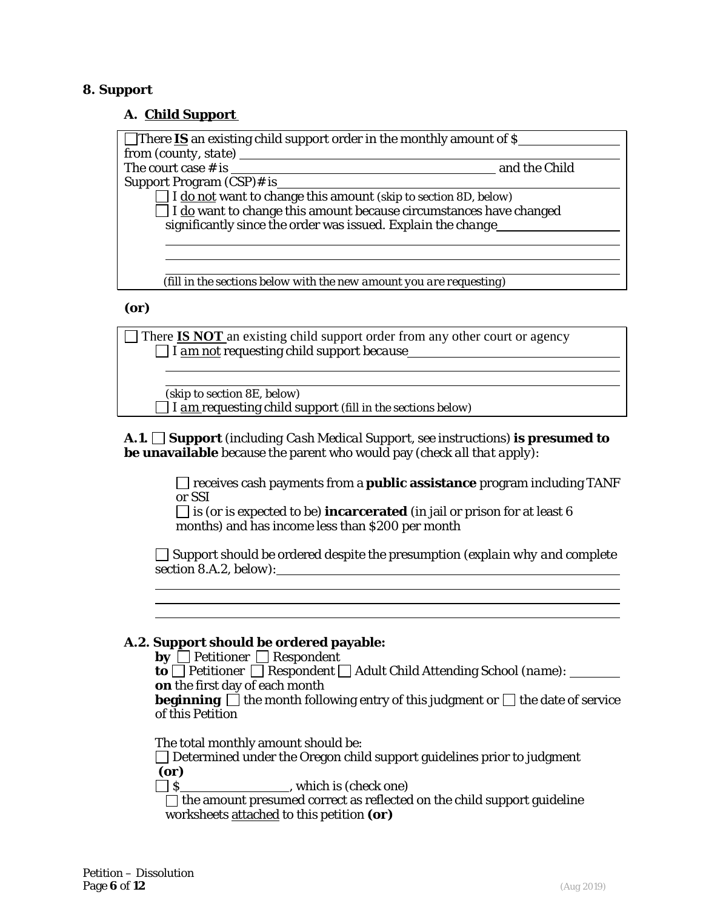#### **8. Support**

#### **A. Child Support**

| There <b>IS</b> an existing child support order in the monthly amount of $\hat{\mathbf{S}}$ |               |
|---------------------------------------------------------------------------------------------|---------------|
|                                                                                             |               |
| The court case $\#$ is $\_$                                                                 | and the Child |
| Support Program (CSP)# is                                                                   |               |
| $\Box$ I <u>do not</u> want to change this amount <i>(skip to section 8D, below)</i>        |               |
| $\Box$ I $\underline{do}$ want to change this amount because circumstances have changed     |               |
| significantly since the order was issued. Explain the change                                |               |
|                                                                                             |               |
|                                                                                             |               |
|                                                                                             |               |
| (fill in the sections below with the new amount you are requesting)                         |               |
| $\sim$ $\sim$                                                                               |               |

#### *(or)*

There **IS NOT** an existing child support order from any other court or agency I *am not* requesting child support *because*

*(skip to section 8E, below)* I *am* requesting child support *(fill in the sections below)*

**A.1. Support** *(including Cash Medical Support, see instructions)* **is presumed to be unavailable** because the parent who would pay *(check all that apply)*:

> receives cash payments from a **public assistance** program including TANF or SSI

 $\Box$  is (or is expected to be) **incarcerated** (in jail or prison for at least 6 months) and has income less than \$200 per month

Support should be ordered despite the presumption *(explain why and complete section 8.A.2, below)*:

### **A.2. Support should be ordered payable:**

| $\mathbf{by}$ Petitioner Respondent                                                                                                                         |
|-------------------------------------------------------------------------------------------------------------------------------------------------------------|
| <b>to</b> $\Box$ Petitioner $\Box$ Respondent $\Box$ Adult Child Attending School (name):                                                                   |
| on the first day of each month                                                                                                                              |
| <b>beginning</b> $\Box$ the month following entry of this judgment or $\Box$ the date of service                                                            |
| of this Petition                                                                                                                                            |
| The total monthly amount should be:<br>$\Box$ Determined under the Oregon child support guidelines prior to judgment<br>(or)<br>which is <i>(check one)</i> |
| $\Box$ the amount presumed correct as reflected on the child support guideline<br>worksheets attached to this petition (or)                                 |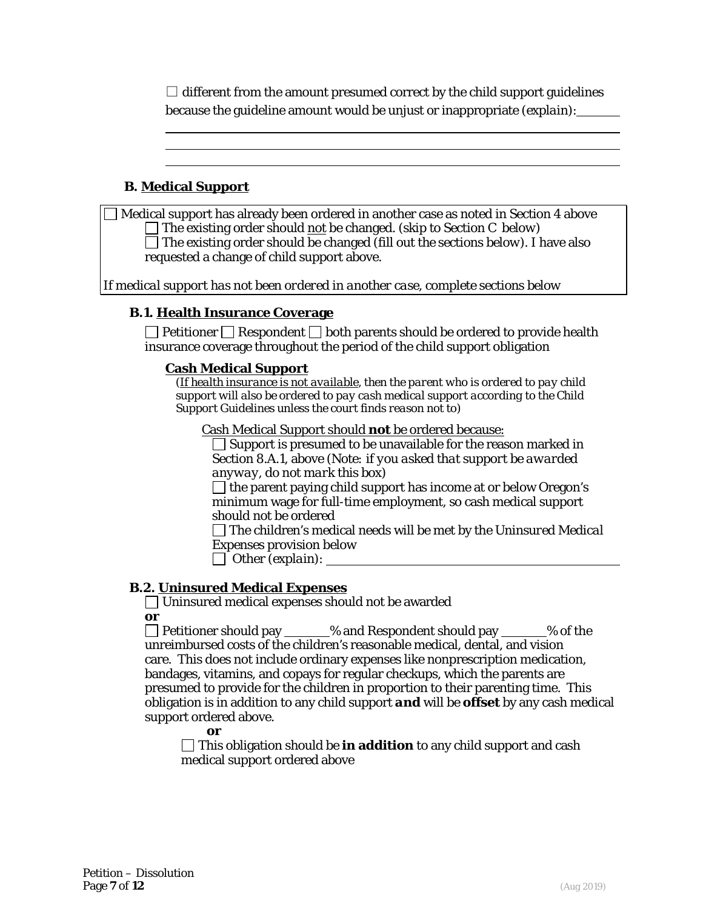$\Box$  different from the amount presumed correct by the child support guidelines because the guideline amount would be unjust or inappropriate *(explain)*:

# **B. Medical Support**

Medical support has already been ordered in another case as noted in Section 4 above The existing order should not be changed. *(skip to Section C below)* The existing order should be changed *(fill out the sections below)*. I have also requested a change of child support above.

*If medical support has not been ordered in another case, complete sections below*

### **B.1. Health Insurance Coverage**

 $\Box$  Petitioner  $\Box$  Respondent  $\Box$  both parents should be ordered to provide health insurance coverage throughout the period of the child support obligation

#### **Cash Medical Support**

*(If health insurance is not available, then the parent who is ordered to pay child support will also be ordered to pay cash medical support according to the Child Support Guidelines unless the court finds reason not to)* 

Cash Medical Support should **not** be ordered because:

 $\Box$  Support is presumed to be unavailable for the reason marked in Section 8.A.1, above *(Note: if you asked that support be awarded anyway, do not mark this box)* 

 $\Box$  the parent paying child support has income at or below Oregon's minimum wage for full-time employment, so cash medical support should not be ordered

The children's medical needs will be met by the *Uninsured Medical Expenses* provision below

Other *(explain)*:

### **B.2. Uninsured Medical Expenses**

Uninsured medical expenses should not be awarded *or*

 $\Box$  Petitioner should pay  $\Box$  % and Respondent should pay  $\Box$  % of the unreimbursed costs of the children's reasonable medical, dental, and vision care*.* This does not include ordinary expenses like nonprescription medication, bandages, vitamins, and copays for regular checkups, which the parents are presumed to provide for the children in proportion to their parenting time. This obligation is in addition to any child support *and* will be **offset** by any cash medical support ordered above.

*or*

This obligation should be **in addition** to any child support and cash medical support ordered above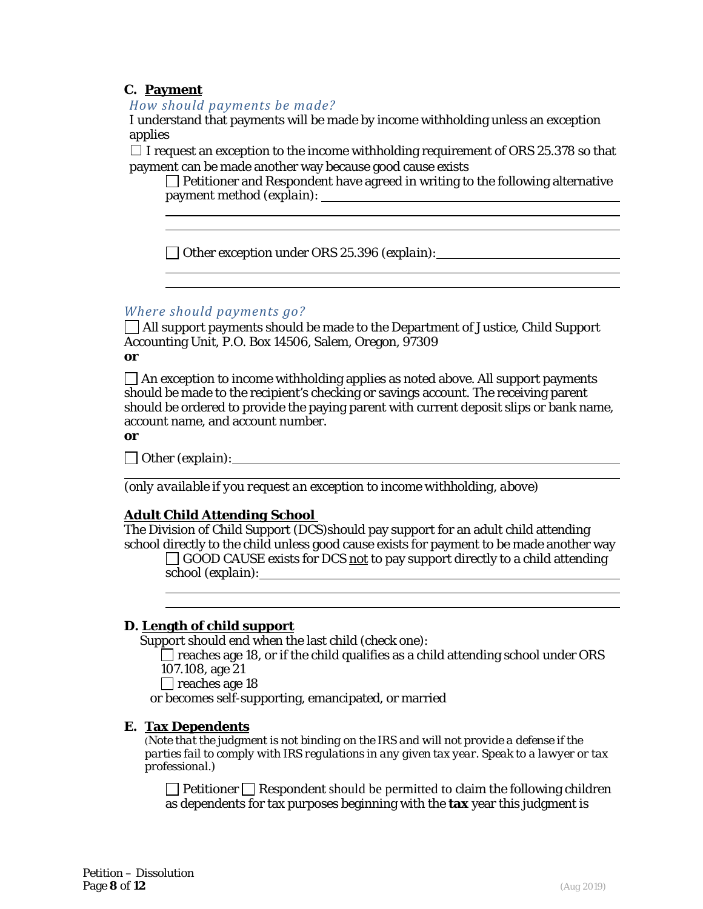# **C. Payment**

*How should payments be made?* 

I understand that payments will be made by income withholding unless an exception applies

 $\Box$  I request an exception to the income withholding requirement of ORS 25.378 so that payment can be made another way because good cause exists

 $\Box$  Petitioner and Respondent have agreed in writing to the following alternative payment method *(explain)*:

<u> 1989 - Johann Stoff, deutscher Stoffen und der Stoffen und der Stoffen und der Stoffen und der Stoffen und der</u>

Other exception under ORS 25.396 *(explain)*:

# *Where should payments go?*

All support payments should be made to the Department of Justice, Child Support Accounting Unit, P.O. Box 14506, Salem, Oregon, 97309 *or*

 $\Box$  An exception to income withholding applies as noted above. All support payments should be made to the recipient's checking or savings account. The receiving parent should be ordered to provide the paying parent with current deposit slips or bank name, account name, and account number.

*or* 

Other *(explain)*:

*(only available if you request an exception to income withholding, above)*

### *Adult Child Attending School*

The Division of Child Support (DCS)should pay support for an adult child attending school directly to the child unless good cause exists for payment to be made another way

 $\Box$  GOOD CAUSE exists for DCS not to pay support directly to a child attending school *(explain)*:

#### **D. Length of child support**

Support should end when the last child *(check one)*:

 $\Box$  reaches age 18, or if the child qualifies as a child attending school under ORS 107.108, age 21

 $\Box$  reaches age 18

or becomes self-supporting, emancipated, or married

#### **E. Tax Dependents**

*(Note that the judgment is not binding on the IRS and will not provide a defense if the parties fail to comply with IRS regulations in any given tax year. Speak to a lawyer or tax professional.)* 

 $\Box$  Petitioner  $\Box$  Respondent should be permitted to claim the following children as dependents for tax purposes beginning with the **tax** year this judgment is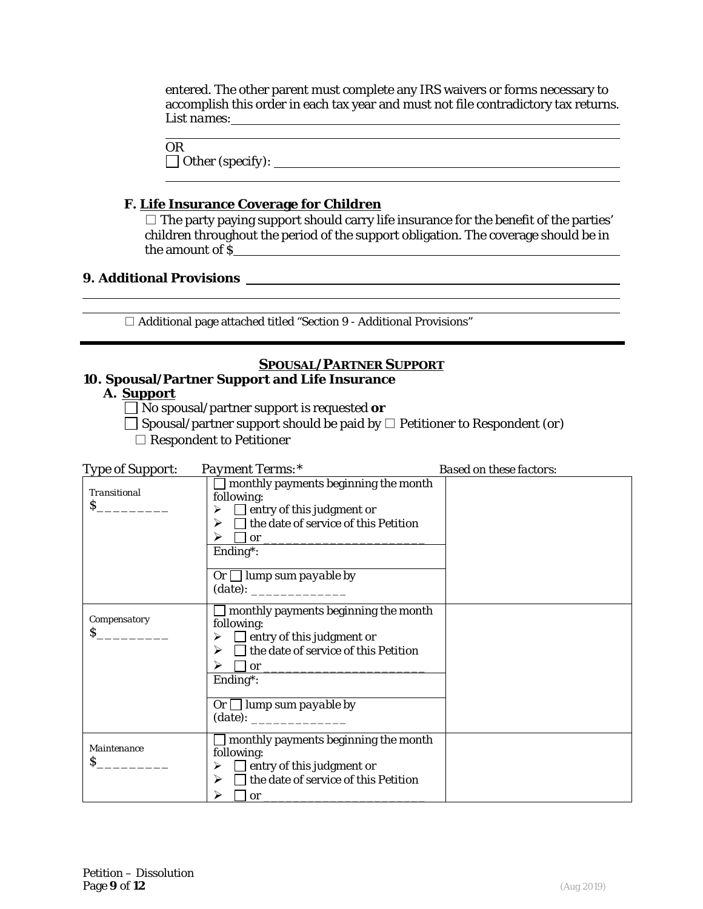entered. The other parent must complete any IRS waivers or forms necessary to accomplish this order in each tax year and must not file contradictory tax returns. *List names*:

| <b>OR</b>               |  |  |
|-------------------------|--|--|
| $\Box$ Other (specify): |  |  |

# **F. Life Insurance Coverage for Children**

 $\square$  The party paying support should carry life insurance for the benefit of the parties' children throughout the period of the support obligation. The coverage should be in the amount of  $\tilde{\S}$ 

# **9. Additional Provisions**

 $\square$  Additional page attached titled "Section 9 - Additional Provisions"

# *SPOUSAL/PARTNER SUPPORT*

# **10. Spousal/Partner Support and Life Insurance**

# **A. Support**

No spousal/partner support is requested *or*

Spousal/partner support should be paid by □ Petitioner to Respondent *(or)*

□ Respondent to Petitioner

| <b>Type of Support:</b>       | Payment Terms:*                                                                                                                                                                                                                                                    | <b>Based on these factors:</b> |
|-------------------------------|--------------------------------------------------------------------------------------------------------------------------------------------------------------------------------------------------------------------------------------------------------------------|--------------------------------|
| <b>Transitional</b>           | $\Box$ monthly payments beginning the month<br>following:<br>$\triangleright$ $\Box$ entry of this judgment or<br>$\triangleright \square$ the date of service of this <i>Petition</i><br>≻<br><u><math>or</math></u><br>Ending*:<br>Or $\Box$ lump sum payable by |                                |
| Compensatory<br>$\mathcal{S}$ | $\Box$ monthly payments beginning the month<br>following:<br>$\triangleright$ $\Box$ entry of this judgment or<br>$\triangleright \square$ the date of service of this <i>Petition</i><br>Ending*:<br>Or $\Box$ lump sum payable by                                |                                |
| Maintenance<br>$\mathcal{S}$  | $\Box$ monthly payments beginning the month<br>following:<br>$\triangleright$ $\Box$ entry of this judgment or<br>$\Box$ the date of service of this <i>Petition</i><br>➤<br>⋗<br><b>or</b>                                                                        |                                |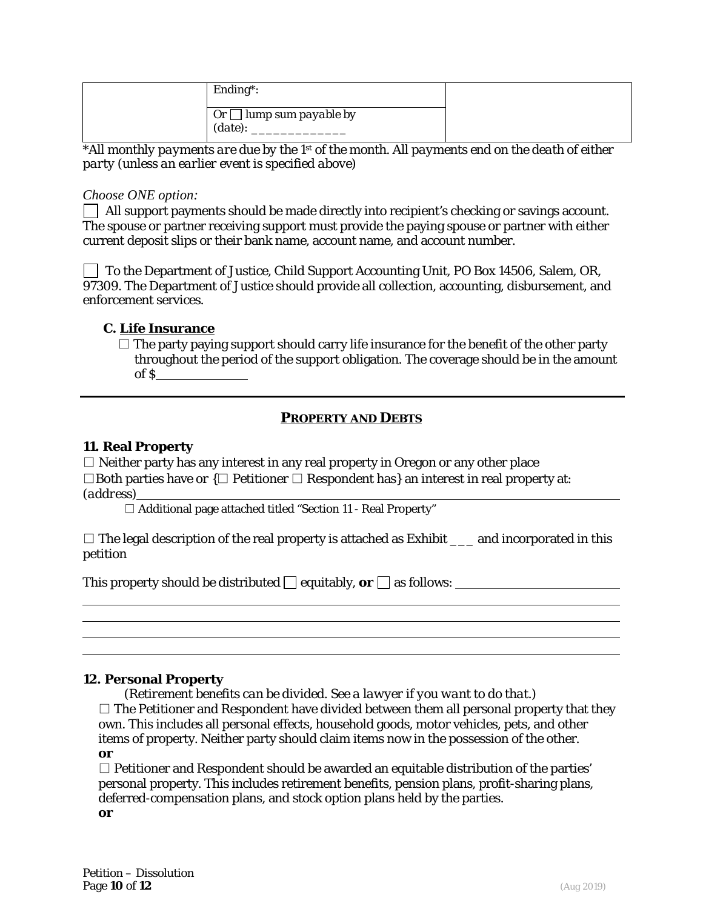| Ending <sup>*</sup> :                   |  |
|-----------------------------------------|--|
| Or $\Box$ lump sum payable by<br>(date) |  |

*\*All monthly payments are due by the 1st of the month. All payments end on the death of either party (unless an earlier event is specified above)*

## *Choose ONE option:*

All support payments should be made directly into recipient's checking or savings account. The spouse or partner receiving support must provide the paying spouse or partner with either current deposit slips or their bank name, account name, and account number.

To the Department of Justice, Child Support Accounting Unit, PO Box 14506, Salem, OR, 97309. The Department of Justice should provide all collection, accounting, disbursement, and enforcement services.

# **C. Life Insurance**

 $\square$  The party paying support should carry life insurance for the benefit of the other party throughout the period of the support obligation. The coverage should be in the amount of \$

# *PROPERTY AND DEBTS*

### **11. Real Property**

 $\Box$  Neither party has any interest in any real property in Oregon or any other place □Both parties have *or* {□ Petitioner □ Respondent has} an interest in real property at: *(address)*

□ Additional page attached titled "Section 11 - Real Property"

 $\square$  The legal description of the real property is attached as Exhibit  $\_\_$  and incorporated in this petition

This property should be distributed  $\Box$  equitably,  $or \Box$  as follows:

### **12. Personal Property**

*(Retirement benefits can be divided. See a lawyer if you want to do that.)*

 $\square$  The Petitioner and Respondent have divided between them all personal property that they own. This includes all personal effects, household goods, motor vehicles, pets, and other items of property. Neither party should claim items now in the possession of the other. *or*

 $\Box$  Petitioner and Respondent should be awarded an equitable distribution of the parties' personal property. This includes retirement benefits, pension plans, profit-sharing plans, deferred-compensation plans, and stock option plans held by the parties. *or*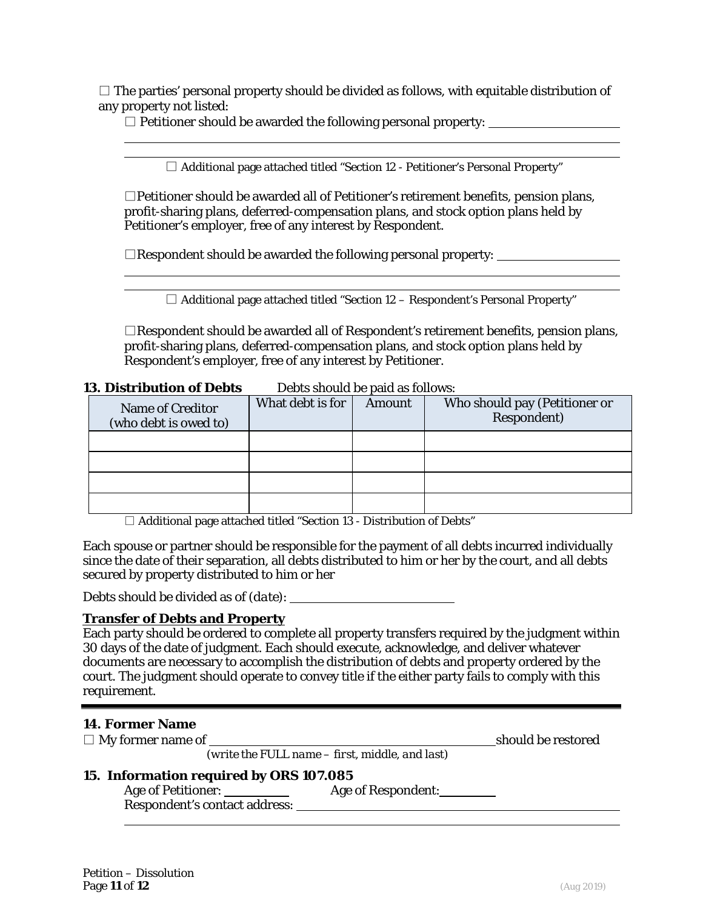$\square$  The parties' personal property should be divided as follows, with equitable distribution of any property not listed:

 $\square$  Petitioner should be awarded the following personal property:

 $\Box$  Additional page attached titled "Section 12 - Petitioner's Personal Property"

 $\square$ Petitioner should be awarded all of Petitioner's retirement benefits, pension plans, profit-sharing plans, deferred-compensation plans, and stock option plans held by Petitioner's employer, free of any interest by Respondent.

 $\Box$ Respondent should be awarded the following personal property:

 $\Box$  Additional page attached titled "Section 12 – Respondent's Personal Property"

<u> 1989 - Johann Stoff, deutscher Stoffen und der Stoffen und der Stoffen und der Stoffen und der Stoffen und d</u>

 $\Box$ Respondent should be awarded all of Respondent's retirement benefits, pension plans, profit-sharing plans, deferred-compensation plans, and stock option plans held by Respondent's employer, free of any interest by Petitioner.

#### **13. Distribution of Debts** Debts should be paid as follows:

| Name of Creditor<br>(who debt is owed to) | What debt is for | Amount | Who should pay (Petitioner or<br>Respondent) |
|-------------------------------------------|------------------|--------|----------------------------------------------|
|                                           |                  |        |                                              |
|                                           |                  |        |                                              |
|                                           |                  |        |                                              |
|                                           |                  |        |                                              |

 $\Box$  Additional page attached titled "Section 13 - Distribution of Debts"

Each spouse or partner should be responsible for the payment of all debts incurred individually since the date of their separation, all debts distributed to him or her by the court, *and* all debts secured by property distributed to him or her

Debts should be divided as of *(date)*:

#### **Transfer of Debts and Property**

Each party should be ordered to complete all property transfers required by the judgment within 30 days of the date of judgment. Each should execute, acknowledge, and deliver whatever documents are necessary to accomplish the distribution of debts and property ordered by the court. The judgment should operate to convey title if the either party fails to comply with this requirement.

### **14. Former Name**

□ My former name of should be restored

*(write the FULL name – first, middle, and last)*

# **15. Information required by ORS 107.085**

Age of Petitioner: <u>Age of Petitioner:</u> Respondent's contact address: